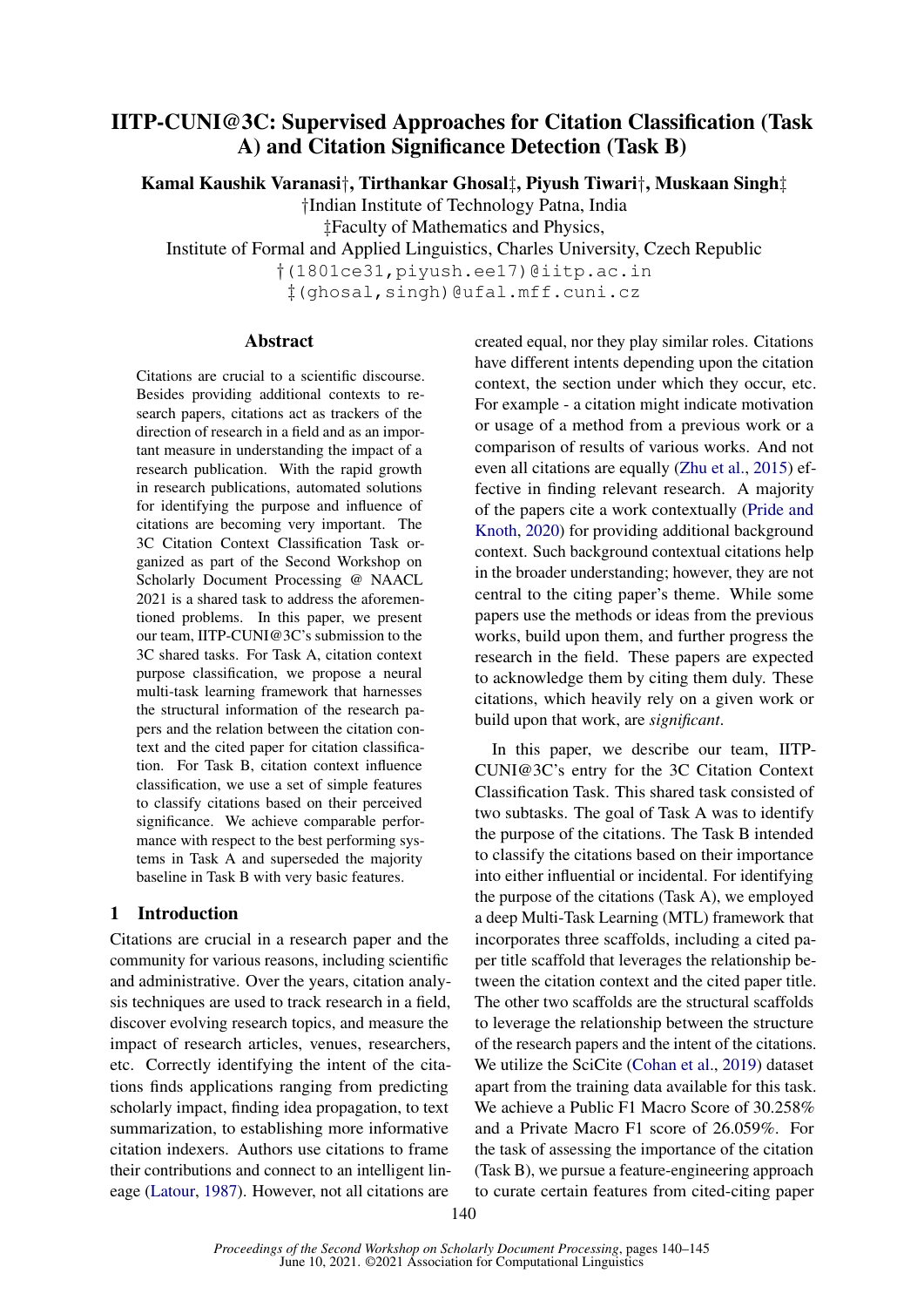# IITP-CUNI@3C: Supervised Approaches for Citation Classification (Task A) and Citation Significance Detection (Task B)

Kamal Kaushik Varanasi†, Tirthankar Ghosal‡, Piyush Tiwari†, Muskaan Singh‡

†Indian Institute of Technology Patna, India

‡Faculty of Mathematics and Physics,

Institute of Formal and Applied Linguistics, Charles University, Czech Republic

†(1801ce31,piyush.ee17)@iitp.ac.in ‡(ghosal,singh)@ufal.mff.cuni.cz

**Abstract** 

Citations are crucial to a scientific discourse. Besides providing additional contexts to research papers, citations act as trackers of the direction of research in a field and as an important measure in understanding the impact of a research publication. With the rapid growth in research publications, automated solutions for identifying the purpose and influence of citations are becoming very important. The 3C Citation Context Classification Task organized as part of the Second Workshop on Scholarly Document Processing @ NAACL 2021 is a shared task to address the aforementioned problems. In this paper, we present our team, IITP-CUNI@3C's submission to the 3C shared tasks. For Task A, citation context purpose classification, we propose a neural multi-task learning framework that harnesses the structural information of the research papers and the relation between the citation context and the cited paper for citation classification. For Task B, citation context influence classification, we use a set of simple features to classify citations based on their perceived significance. We achieve comparable performance with respect to the best performing systems in Task A and superseded the majority baseline in Task B with very basic features.

#### 1 Introduction

Citations are crucial in a research paper and the community for various reasons, including scientific and administrative. Over the years, citation analysis techniques are used to track research in a field, discover evolving research topics, and measure the impact of research articles, venues, researchers, etc. Correctly identifying the intent of the citations finds applications ranging from predicting scholarly impact, finding idea propagation, to text summarization, to establishing more informative citation indexers. Authors use citations to frame their contributions and connect to an intelligent lineage (Latour, 1987). However, not all citations are

created equal, nor they play similar roles. Citations have different intents depending upon the citation context, the section under which they occur, etc. For example - a citation might indicate motivation or usage of a method from a previous work or a comparison of results of various works. And not even all citations are equally (Zhu et al., 2015) effective in finding relevant research. A majority of the papers cite a work contextually (Pride and Knoth, 2020) for providing additional background context. Such background contextual citations help in the broader understanding; however, they are not central to the citing paper's theme. While some papers use the methods or ideas from the previous works, build upon them, and further progress the research in the field. These papers are expected to acknowledge them by citing them duly. These citations, which heavily rely on a given work or build upon that work, are *significant*.

In this paper, we describe our team, IITP-CUNI@3C's entry for the 3C Citation Context Classification Task. This shared task consisted of two subtasks. The goal of Task A was to identify the purpose of the citations. The Task B intended to classify the citations based on their importance into either influential or incidental. For identifying the purpose of the citations (Task A), we employed a deep Multi-Task Learning (MTL) framework that incorporates three scaffolds, including a cited paper title scaffold that leverages the relationship between the citation context and the cited paper title. The other two scaffolds are the structural scaffolds to leverage the relationship between the structure of the research papers and the intent of the citations. We utilize the SciCite (Cohan et al., 2019) dataset apart from the training data available for this task. We achieve a Public F1 Macro Score of 30.258% and a Private Macro F1 score of 26.059%. For the task of assessing the importance of the citation (Task B), we pursue a feature-engineering approach to curate certain features from cited-citing paper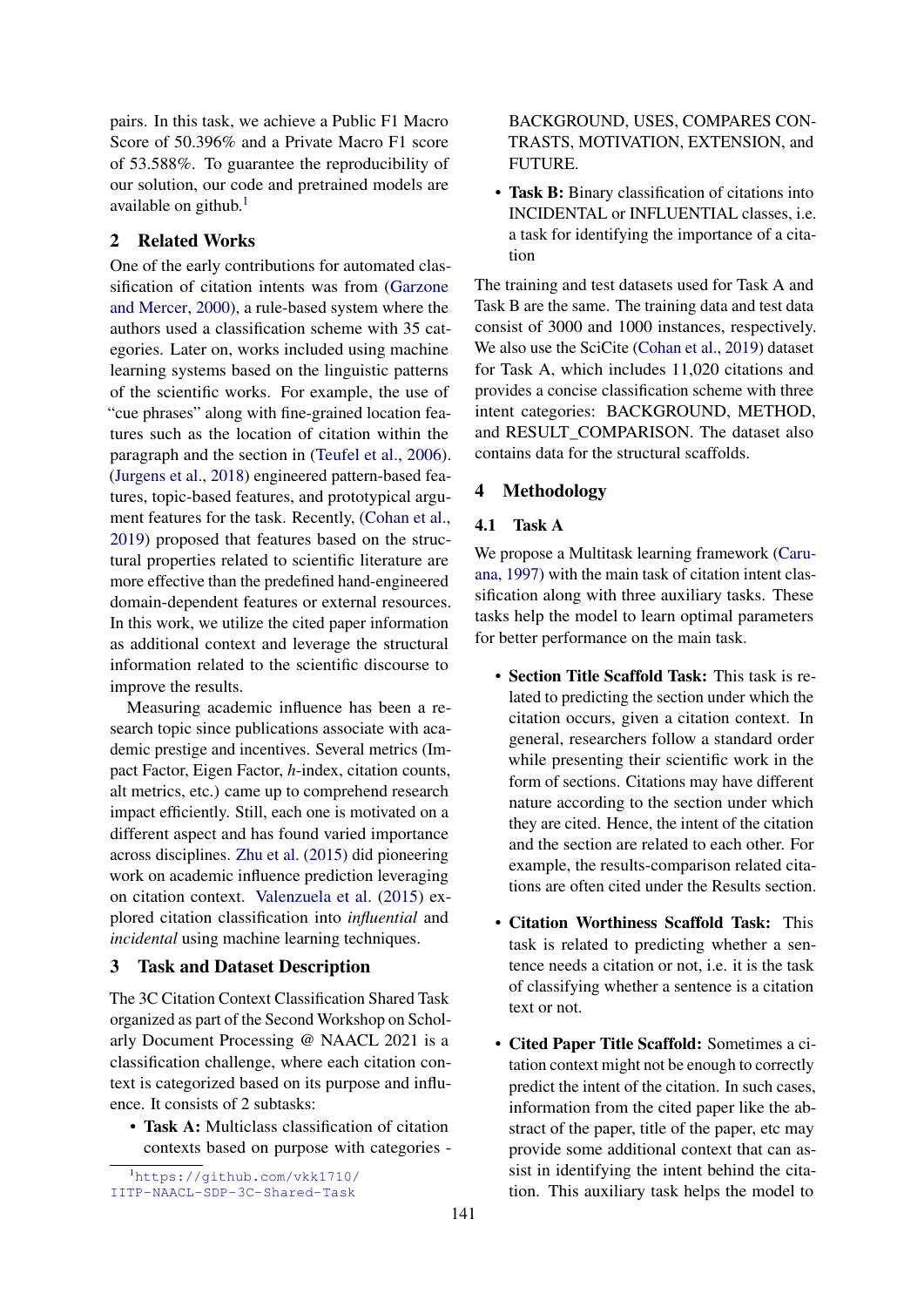pairs. In this task, we achieve a Public F1 Macro Score of 50.396% and a Private Macro F1 score of 53.588%. To guarantee the reproducibility of our solution, our code and pretrained models are available on github. $<sup>1</sup>$ </sup>

# 2 Related Works

One of the early contributions for automated classification of citation intents was from (Garzone and Mercer, 2000), a rule-based system where the authors used a classification scheme with 35 categories. Later on, works included using machine learning systems based on the linguistic patterns of the scientific works. For example, the use of "cue phrases" along with fine-grained location features such as the location of citation within the paragraph and the section in (Teufel et al., 2006). (Jurgens et al., 2018) engineered pattern-based features, topic-based features, and prototypical argument features for the task. Recently, (Cohan et al., 2019) proposed that features based on the structural properties related to scientific literature are more effective than the predefined hand-engineered domain-dependent features or external resources. In this work, we utilize the cited paper information as additional context and leverage the structural information related to the scientific discourse to improve the results.

Measuring academic influence has been a research topic since publications associate with academic prestige and incentives. Several metrics (Impact Factor, Eigen Factor, *h*-index, citation counts, alt metrics, etc.) came up to comprehend research impact efficiently. Still, each one is motivated on a different aspect and has found varied importance across disciplines. Zhu et al. (2015) did pioneering work on academic influence prediction leveraging on citation context. Valenzuela et al. (2015) explored citation classification into *influential* and *incidental* using machine learning techniques.

#### 3 Task and Dataset Description

The 3C Citation Context Classification Shared Task organized as part of the Second Workshop on Scholarly Document Processing @ NAACL 2021 is a classification challenge, where each citation context is categorized based on its purpose and influence. It consists of 2 subtasks:

• Task A: Multiclass classification of citation contexts based on purpose with categories - BACKGROUND, USES, COMPARES CON-TRASTS, MOTIVATION, EXTENSION, and FUTURE.

• Task B: Binary classification of citations into INCIDENTAL or INFLUENTIAL classes, i.e. a task for identifying the importance of a citation

The training and test datasets used for Task A and Task B are the same. The training data and test data consist of 3000 and 1000 instances, respectively. We also use the SciCite (Cohan et al., 2019) dataset for Task A, which includes 11,020 citations and provides a concise classification scheme with three intent categories: BACKGROUND, METHOD, and RESULT\_COMPARISON. The dataset also contains data for the structural scaffolds.

## 4 Methodology

# 4.1 Task A

We propose a Multitask learning framework (Caruana, 1997) with the main task of citation intent classification along with three auxiliary tasks. These tasks help the model to learn optimal parameters for better performance on the main task.

- Section Title Scaffold Task: This task is related to predicting the section under which the citation occurs, given a citation context. In general, researchers follow a standard order while presenting their scientific work in the form of sections. Citations may have different nature according to the section under which they are cited. Hence, the intent of the citation and the section are related to each other. For example, the results-comparison related citations are often cited under the Results section.
- Citation Worthiness Scaffold Task: This task is related to predicting whether a sentence needs a citation or not, i.e. it is the task of classifying whether a sentence is a citation text or not.
- Cited Paper Title Scaffold: Sometimes a citation context might not be enough to correctly predict the intent of the citation. In such cases, information from the cited paper like the abstract of the paper, title of the paper, etc may provide some additional context that can assist in identifying the intent behind the citation. This auxiliary task helps the model to

<sup>1</sup>https://github.com/vkk1710/ IITP-NAACL-SDP-3C-Shared-Task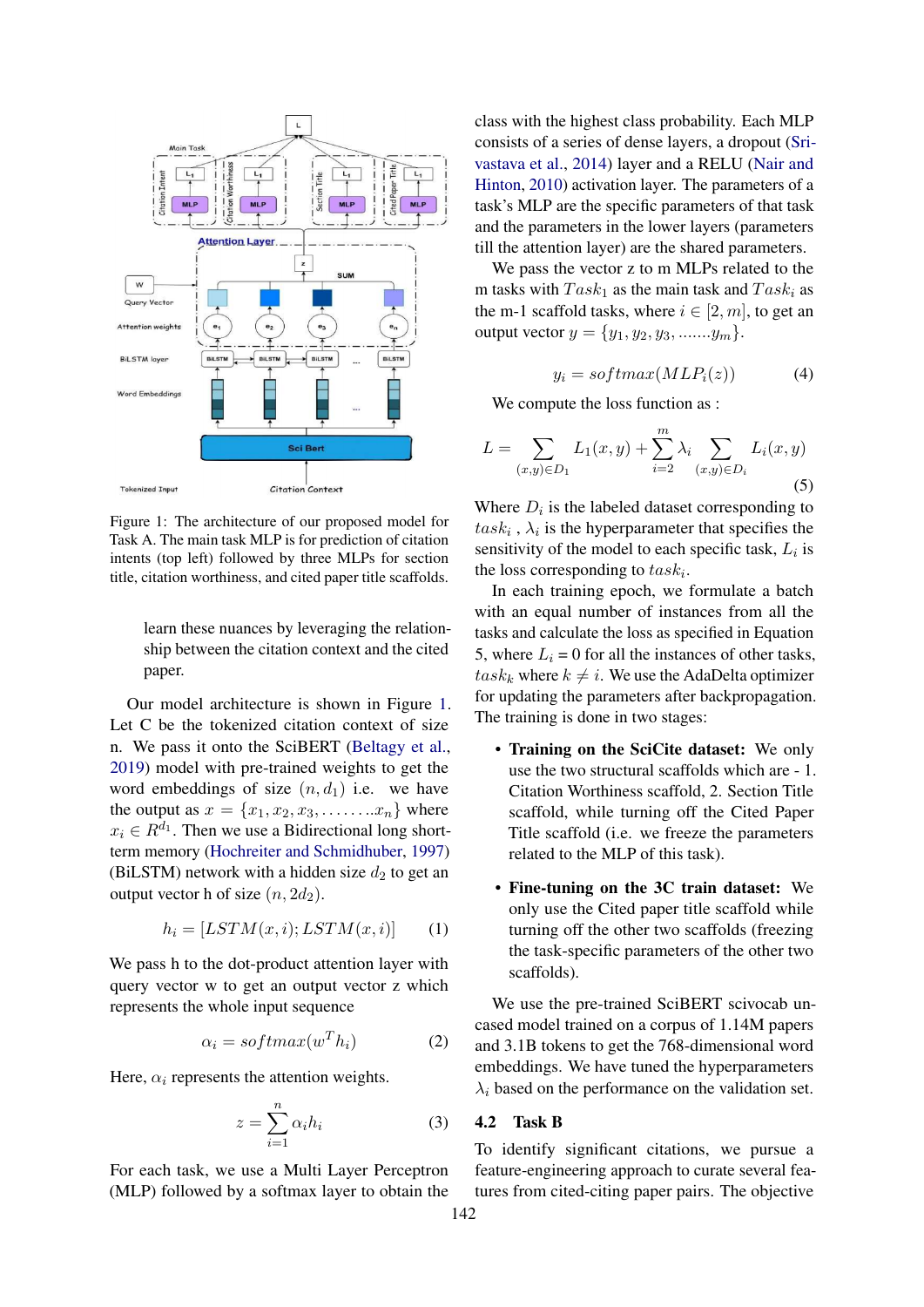

Figure 1: The architecture of our proposed model for Task A. The main task MLP is for prediction of citation intents (top left) followed by three MLPs for section title, citation worthiness, and cited paper title scaffolds.

learn these nuances by leveraging the relationship between the citation context and the cited paper.

Our model architecture is shown in Figure 1. Let C be the tokenized citation context of size n. We pass it onto the SciBERT (Beltagy et al., 2019) model with pre-trained weights to get the word embeddings of size  $(n, d_1)$  i.e. we have the output as  $x = \{x_1, x_2, x_3, \dots, x_n\}$  where  $x_i \in R^{d_1}$ . Then we use a Bidirectional long shortterm memory (Hochreiter and Schmidhuber, 1997) (BiLSTM) network with a hidden size  $d_2$  to get an output vector h of size  $(n, 2d_2)$ .

$$
h_i = [LSTM(x, i); LSTM(x, i)] \qquad (1)
$$

We pass h to the dot-product attention layer with query vector w to get an output vector z which represents the whole input sequence

$$
\alpha_i = softmax(w^T h_i) \tag{2}
$$

Here,  $\alpha_i$  represents the attention weights.

$$
z = \sum_{i=1}^{n} \alpha_i h_i \tag{3}
$$

For each task, we use a Multi Layer Perceptron (MLP) followed by a softmax layer to obtain the class with the highest class probability. Each MLP consists of a series of dense layers, a dropout (Srivastava et al., 2014) layer and a RELU (Nair and Hinton, 2010) activation layer. The parameters of a task's MLP are the specific parameters of that task and the parameters in the lower layers (parameters till the attention layer) are the shared parameters.

We pass the vector z to m MLPs related to the m tasks with  $Task_1$  as the main task and  $Task_i$  as the m-1 scaffold tasks, where  $i \in [2, m]$ , to get an output vector  $y = \{y_1, y_2, y_3, \dots, y_m\}.$ 

$$
y_i = softmax(MLP_i(z))
$$
 (4)

We compute the loss function as :

$$
L = \sum_{(x,y)\in D_1} L_1(x,y) + \sum_{i=2}^m \lambda_i \sum_{(x,y)\in D_i} L_i(x,y)
$$
\n(5)

Where  $D_i$  is the labeled dataset corresponding to  $task_i$ ,  $\lambda_i$  is the hyperparameter that specifies the sensitivity of the model to each specific task,  $L_i$  is the loss corresponding to  $task_i$ .

In each training epoch, we formulate a batch with an equal number of instances from all the tasks and calculate the loss as specified in Equation 5, where  $L_i = 0$  for all the instances of other tasks,  $task_k$  where  $k \neq i$ . We use the AdaDelta optimizer for updating the parameters after backpropagation. The training is done in two stages:

- Training on the SciCite dataset: We only use the two structural scaffolds which are - 1. Citation Worthiness scaffold, 2. Section Title scaffold, while turning off the Cited Paper Title scaffold (i.e. we freeze the parameters related to the MLP of this task).
- Fine-tuning on the 3C train dataset: We only use the Cited paper title scaffold while turning off the other two scaffolds (freezing the task-specific parameters of the other two scaffolds).

We use the pre-trained SciBERT scivocab uncased model trained on a corpus of 1.14M papers and 3.1B tokens to get the 768-dimensional word embeddings. We have tuned the hyperparameters  $\lambda_i$  based on the performance on the validation set.

#### 4.2 Task B

To identify significant citations, we pursue a feature-engineering approach to curate several features from cited-citing paper pairs. The objective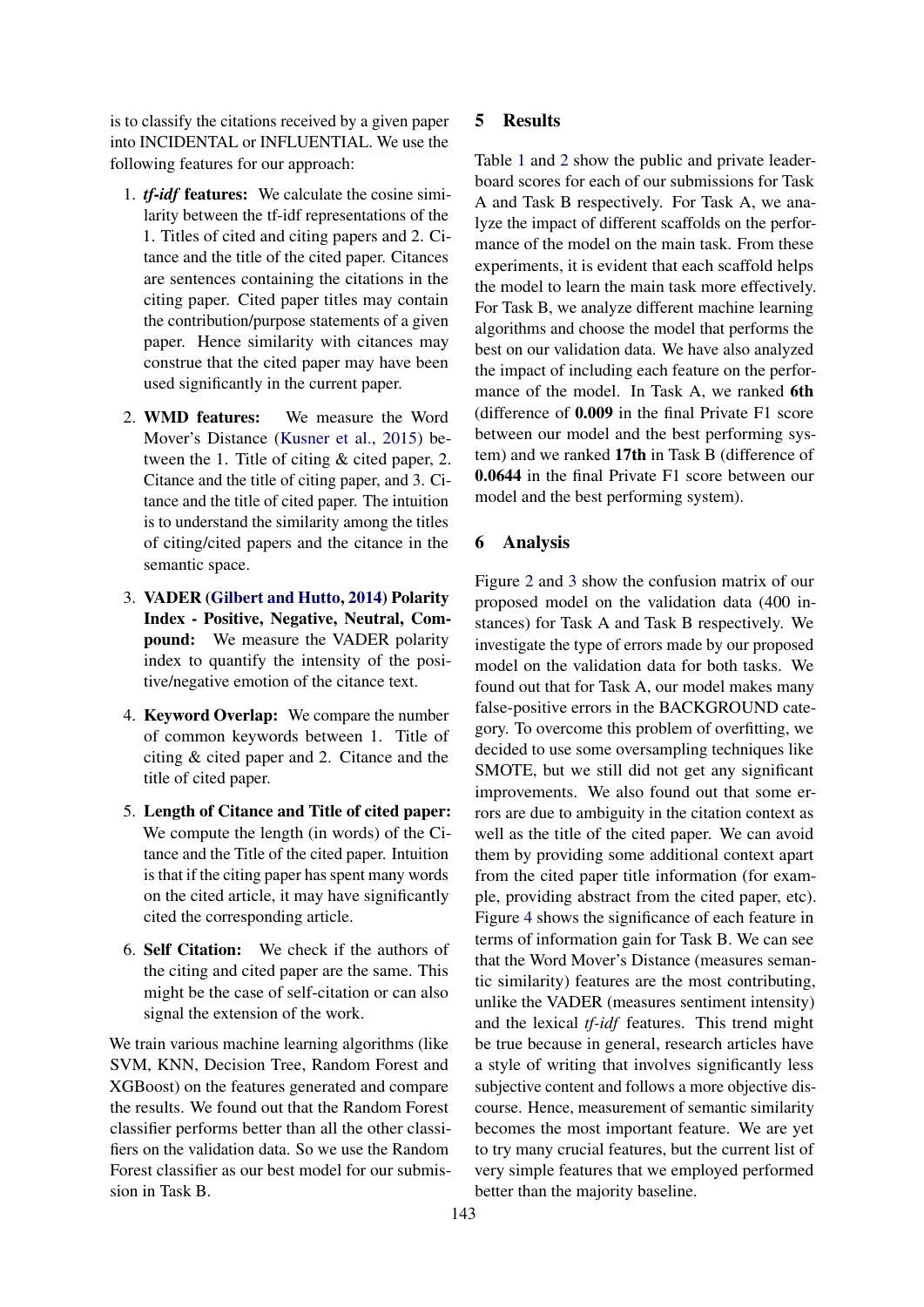is to classify the citations received by a given paper into INCIDENTAL or INFLUENTIAL. We use the following features for our approach:

- 1. *tf-idf* features: We calculate the cosine similarity between the tf-idf representations of the 1. Titles of cited and citing papers and 2. Citance and the title of the cited paper. Citances are sentences containing the citations in the citing paper. Cited paper titles may contain the contribution/purpose statements of a given paper. Hence similarity with citances may construe that the cited paper may have been used significantly in the current paper.
- 2. WMD features: We measure the Word Mover's Distance (Kusner et al., 2015) between the 1. Title of citing & cited paper, 2. Citance and the title of citing paper, and 3. Citance and the title of cited paper. The intuition is to understand the similarity among the titles of citing/cited papers and the citance in the semantic space.
- 3. VADER (Gilbert and Hutto, 2014) Polarity Index - Positive, Negative, Neutral, Compound: We measure the VADER polarity index to quantify the intensity of the positive/negative emotion of the citance text.
- 4. Keyword Overlap: We compare the number of common keywords between 1. Title of citing & cited paper and 2. Citance and the title of cited paper.
- 5. Length of Citance and Title of cited paper: We compute the length (in words) of the Citance and the Title of the cited paper. Intuition is that if the citing paper has spent many words on the cited article, it may have significantly cited the corresponding article.
- 6. Self Citation: We check if the authors of the citing and cited paper are the same. This might be the case of self-citation or can also signal the extension of the work.

We train various machine learning algorithms (like SVM, KNN, Decision Tree, Random Forest and XGBoost) on the features generated and compare the results. We found out that the Random Forest classifier performs better than all the other classifiers on the validation data. So we use the Random Forest classifier as our best model for our submission in Task B.

# 5 Results

Table 1 and 2 show the public and private leaderboard scores for each of our submissions for Task A and Task B respectively. For Task A, we analyze the impact of different scaffolds on the performance of the model on the main task. From these experiments, it is evident that each scaffold helps the model to learn the main task more effectively. For Task B, we analyze different machine learning algorithms and choose the model that performs the best on our validation data. We have also analyzed the impact of including each feature on the performance of the model. In Task A, we ranked 6th (difference of 0.009 in the final Private F1 score between our model and the best performing system) and we ranked 17th in Task B (difference of 0.0644 in the final Private F1 score between our model and the best performing system).

# 6 Analysis

Figure 2 and 3 show the confusion matrix of our proposed model on the validation data (400 instances) for Task A and Task B respectively. We investigate the type of errors made by our proposed model on the validation data for both tasks. We found out that for Task A, our model makes many false-positive errors in the BACKGROUND category. To overcome this problem of overfitting, we decided to use some oversampling techniques like SMOTE, but we still did not get any significant improvements. We also found out that some errors are due to ambiguity in the citation context as well as the title of the cited paper. We can avoid them by providing some additional context apart from the cited paper title information (for example, providing abstract from the cited paper, etc). Figure 4 shows the significance of each feature in terms of information gain for Task B. We can see that the Word Mover's Distance (measures semantic similarity) features are the most contributing, unlike the VADER (measures sentiment intensity) and the lexical *tf-idf* features. This trend might be true because in general, research articles have a style of writing that involves significantly less subjective content and follows a more objective discourse. Hence, measurement of semantic similarity becomes the most important feature. We are yet to try many crucial features, but the current list of very simple features that we employed performed better than the majority baseline.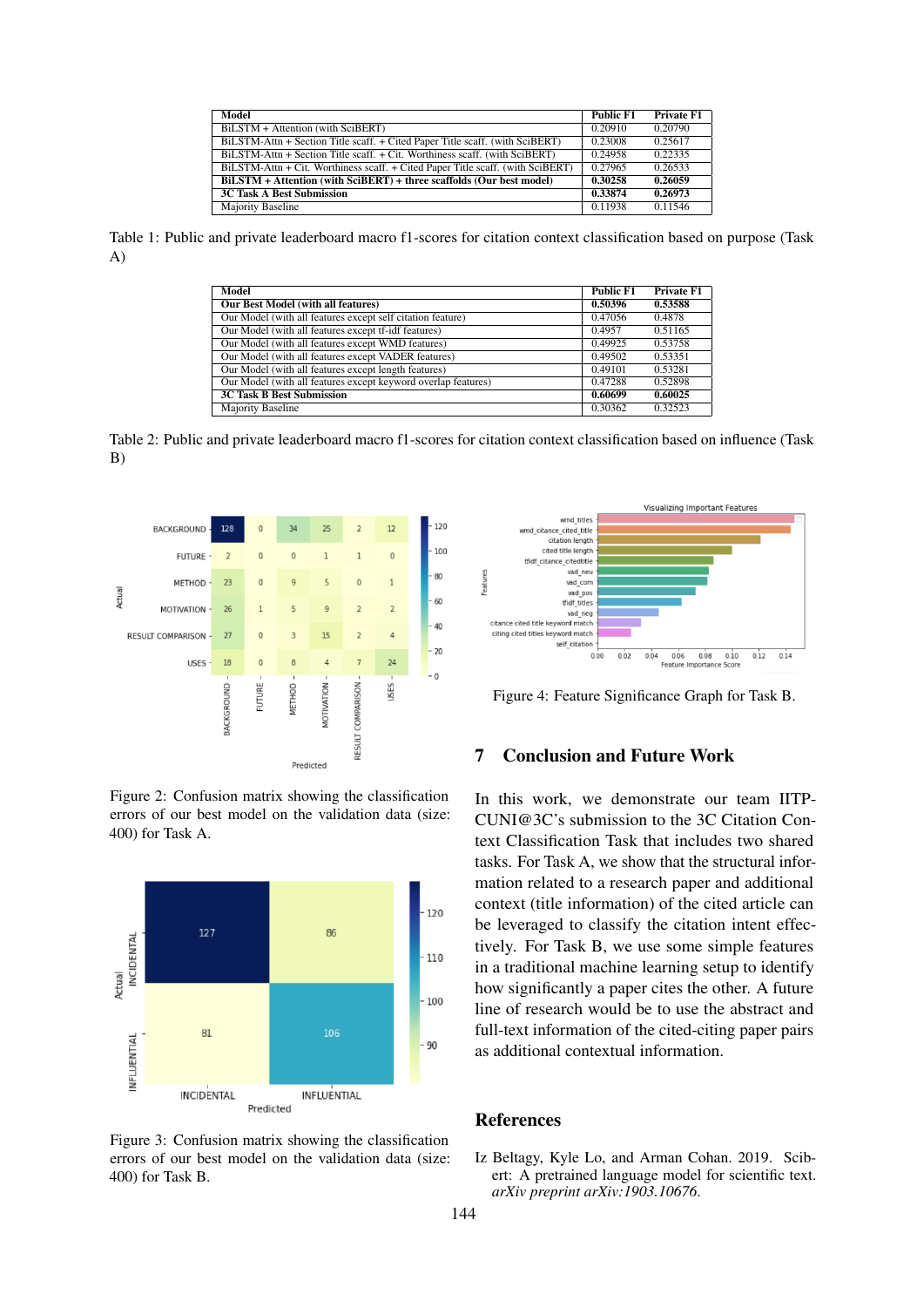| Model                                                                          | <b>Public F1</b> | <b>Private F1</b> |
|--------------------------------------------------------------------------------|------------------|-------------------|
| BiLSTM + Attention (with SciBERT)                                              | 0.20910          | 0.20790           |
| BiLSTM-Attn + Section Title scaff. + Cited Paper Title scaff. (with SciBERT)   | 0.23008          | 0.25617           |
| BiLSTM-Attn + Section Title scaff. + Cit. Worthiness scaff. (with SciBERT)     | 0.24958          | 0.22335           |
| BiLSTM-Attn + Cit. Worthiness scaff. + Cited Paper Title scaff. (with SciBERT) | 0.27965          | 0.26533           |
| BILSTM + Attention (with SciBERT) + three scaffolds (Our best model)           | 0.30258          | 0.26059           |
| <b>3C Task A Best Submission</b>                                               | 0.33874          | 0.26973           |
| <b>Majority Baseline</b>                                                       | 0.11938          | 0.11546           |

Table 1: Public and private leaderboard macro f1-scores for citation context classification based on purpose (Task A)

| Model                                                         | <b>Public F1</b> | <b>Private F1</b> |
|---------------------------------------------------------------|------------------|-------------------|
| <b>Our Best Model (with all features)</b>                     | 0.50396          | 0.53588           |
| Our Model (with all features except self citation feature)    | 0.47056          | 0.4878            |
| Our Model (with all features except tf-idf features)          | 0.4957           | 0.51165           |
| Our Model (with all features except WMD features)             | 0.49925          | 0.53758           |
| Our Model (with all features except VADER features)           | 0.49502          | 0.53351           |
| Our Model (with all features except length features)          | 0.49101          | 0.53281           |
| Our Model (with all features except keyword overlap features) | 0.47288          | 0.52898           |
| <b>3C Task B Best Submission</b>                              | 0.60699          | 0.60025           |
| Majority Baseline                                             | 0.30362          | 0.32523           |

Table 2: Public and private leaderboard macro f1-scores for citation context classification based on influence (Task B)



Figure 2: Confusion matrix showing the classification errors of our best model on the validation data (size: 400) for Task A.



Figure 3: Confusion matrix showing the classification errors of our best model on the validation data (size: 400) for Task B.



Figure 4: Feature Significance Graph for Task B.

# 7 Conclusion and Future Work

In this work, we demonstrate our team IITP-CUNI@3C's submission to the 3C Citation Context Classification Task that includes two shared tasks. For Task A, we show that the structural information related to a research paper and additional context (title information) of the cited article can be leveraged to classify the citation intent effectively. For Task B, we use some simple features in a traditional machine learning setup to identify how significantly a paper cites the other. A future line of research would be to use the abstract and full-text information of the cited-citing paper pairs as additional contextual information.

#### References

Iz Beltagy, Kyle Lo, and Arman Cohan. 2019. Scibert: A pretrained language model for scientific text. *arXiv preprint arXiv:1903.10676*.